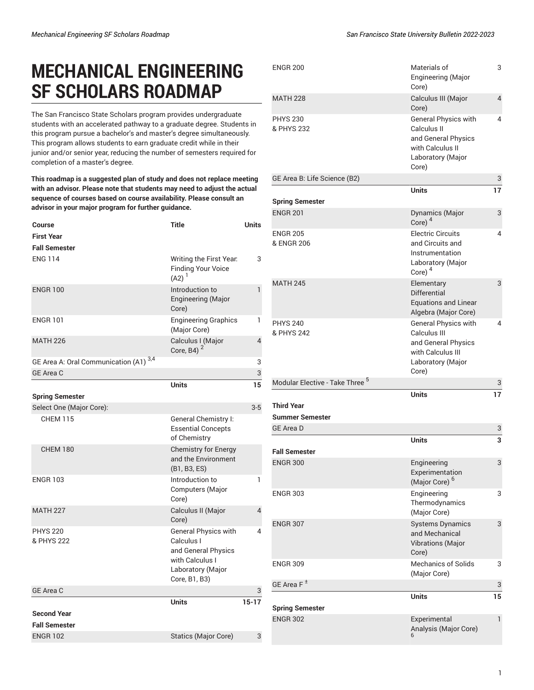## **MECHANICAL ENGINEERING SF SCHOLARS ROADMAP**

The San Francisco State Scholars program provides undergraduate students with an accelerated pathway to a graduate degree. Students in this program pursue a bachelor's and master's degree simultaneously. This program allows students to earn graduate credit while in their junior and/or senior year, reducing the number of semesters required for completion of a master's degree.

**This roadmap is a suggested plan of study and does not replace meeting with an advisor. Please note that students may need to adjust the actual sequence of courses based on course availability. Please consult an advisor in your major program for further guidance.**

| <b>Course</b>                          | <b>Title</b>                                                                                                              | <b>Units</b> |
|----------------------------------------|---------------------------------------------------------------------------------------------------------------------------|--------------|
| <b>First Year</b>                      |                                                                                                                           |              |
| <b>Fall Semester</b>                   |                                                                                                                           |              |
| <b>ENG 114</b>                         | Writing the First Year.<br>Finding Your Voice<br>$(A2)^1$                                                                 | 3            |
| <b>ENGR 100</b>                        | Introduction to<br>Engineering (Major<br>Core)                                                                            | $\mathbf{1}$ |
| <b>ENGR 101</b>                        | <b>Engineering Graphics</b><br>(Major Core)                                                                               | 1            |
| <b>MATH 226</b>                        | Calculus I (Major<br>Core, B4) $^2$                                                                                       | 4            |
| GE Area A: Oral Communication (A1) 3,4 |                                                                                                                           | 3            |
| <b>GE Area C</b>                       |                                                                                                                           | 3            |
|                                        | <b>Units</b>                                                                                                              | 15           |
| <b>Spring Semester</b>                 |                                                                                                                           |              |
| Select One (Major Core):               |                                                                                                                           | $3-5$        |
| <b>CHEM 115</b>                        | General Chemistry I:<br><b>Essential Concepts</b><br>of Chemistry                                                         |              |
| <b>CHEM 180</b>                        | <b>Chemistry for Energy</b><br>and the Environment<br>(B1, B3, ES)                                                        |              |
| <b>ENGR 103</b>                        | Introduction to<br>Computers (Major<br>Core)                                                                              | 1            |
| <b>MATH 227</b>                        | Calculus II (Major<br>Core)                                                                                               | 4            |
| <b>PHYS 220</b><br>& PHYS 222          | <b>General Physics with</b><br>Calculus I<br>and General Physics<br>with Calculus I<br>Laboratory (Major<br>Core, B1, B3) | 4            |
| <b>GE Area C</b>                       |                                                                                                                           | 3            |
|                                        | <b>Units</b>                                                                                                              | $15 - 17$    |
| <b>Second Year</b>                     |                                                                                                                           |              |
| <b>Fall Semester</b>                   |                                                                                                                           |              |
| <b>ENGR 102</b>                        | <b>Statics (Major Core)</b>                                                                                               | 3            |

| <b>ENGR 200</b>                             | Materials of<br>Engineering (Major<br>Core)                                                                           | 3              |
|---------------------------------------------|-----------------------------------------------------------------------------------------------------------------------|----------------|
| <b>MATH 228</b>                             | Calculus III (Major<br>Core)                                                                                          | $\overline{4}$ |
| <b>PHYS 230</b><br>& PHYS 232               | General Physics with<br>Calculus II<br>and General Physics<br>with Calculus II<br>Laboratory (Major<br>Core)          | 4              |
| GE Area B: Life Science (B2)                |                                                                                                                       | 3              |
| <b>Spring Semester</b>                      | <b>Units</b>                                                                                                          | 17             |
| <b>ENGR 201</b>                             | Dynamics (Major<br>Core) $4$                                                                                          | 3              |
| <b>ENGR 205</b><br>& ENGR 206               | <b>Electric Circuits</b><br>and Circuits and<br>Instrumentation<br>Laboratory (Major<br>Core) $4$                     | 4              |
| <b>MATH 245</b>                             | Elementary<br>Differential<br><b>Equations and Linear</b><br>Algebra (Major Core)                                     | 3              |
| <b>PHYS 240</b><br>& PHYS 242               | <b>General Physics with</b><br>Calculus III<br>and General Physics<br>with Calculus III<br>Laboratory (Major<br>Core) | 4              |
| Modular Elective - Take Three <sup>5</sup>  |                                                                                                                       | 3              |
| <b>Third Year</b><br><b>Summer Semester</b> | <b>Units</b>                                                                                                          | 17             |
| <b>GE Area D</b>                            |                                                                                                                       | 3              |
|                                             | <b>Units</b>                                                                                                          | 3              |
| <b>Fall Semester</b>                        |                                                                                                                       |                |
| <b>ENGR 300</b>                             | Engineering<br>Experimentation<br>(Major Core) <sup>6</sup>                                                           | 3              |
| <b>ENGR 303</b>                             | Engineering<br>Thermodynamics<br>(Major Core)                                                                         | 3              |
| <b>ENGR 307</b>                             | <b>Systems Dynamics</b><br>and Mechanical<br><b>Vibrations</b> (Major<br>Core)                                        | 3              |
| ENGR 309                                    | <b>Mechanics of Solids</b><br>(Major Core)                                                                            | 3              |
| GE Area F <sup>±</sup>                      |                                                                                                                       | 3              |
| <b>Spring Semester</b>                      | <b>Units</b>                                                                                                          | 15             |
| <b>ENGR 302</b>                             | Experimental<br>Analysis (Major Core)                                                                                 | $\mathbf{1}$   |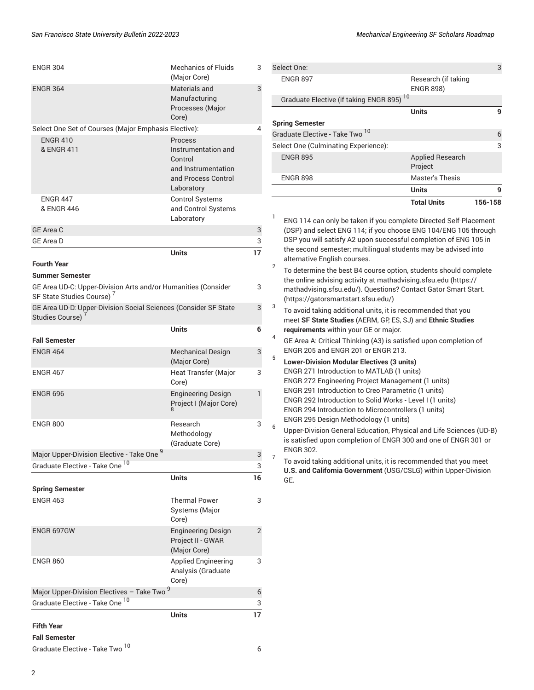| <b>Fall Semester</b><br><b>ENGR 464</b><br><b>ENGR 467</b><br><b>ENGR 696</b><br><b>ENGR 800</b>         | <b>Mechanical Design</b><br>(Major Core)<br>Heat Transfer (Major<br>Core)<br><b>Engineering Design</b><br>Project I (Major Core)<br>Research<br>Methodology<br>(Graduate Core) | 6<br>3<br>3<br>$\mathbf{1}$<br>3 |
|----------------------------------------------------------------------------------------------------------|--------------------------------------------------------------------------------------------------------------------------------------------------------------------------------|----------------------------------|
|                                                                                                          |                                                                                                                                                                                |                                  |
|                                                                                                          |                                                                                                                                                                                |                                  |
|                                                                                                          |                                                                                                                                                                                |                                  |
|                                                                                                          |                                                                                                                                                                                |                                  |
|                                                                                                          |                                                                                                                                                                                |                                  |
|                                                                                                          | <b>Units</b>                                                                                                                                                                   |                                  |
| <b>Studies Course)</b>                                                                                   |                                                                                                                                                                                |                                  |
| SF State Studies Course) <sup>7</sup><br>GE Area UD-D: Upper-Division Social Sciences (Consider SF State |                                                                                                                                                                                | 3                                |
| <b>Summer Semester</b><br>GE Area UD-C: Upper-Division Arts and/or Humanities (Consider                  |                                                                                                                                                                                | 3                                |
| <b>Fourth Year</b>                                                                                       |                                                                                                                                                                                |                                  |
|                                                                                                          | <b>Units</b>                                                                                                                                                                   | 17                               |
| <b>GE Area C</b><br><b>GE Area D</b>                                                                     |                                                                                                                                                                                | 3<br>3                           |
| & ENGR 446                                                                                               | and Control Systems<br>Laboratory                                                                                                                                              |                                  |
| <b>ENGR 447</b>                                                                                          | <b>Control Systems</b>                                                                                                                                                         |                                  |
|                                                                                                          | Control<br>and Instrumentation<br>and Process Control<br>Laboratory                                                                                                            |                                  |
| Select One Set of Courses (Major Emphasis Elective):<br><b>ENGR 410</b><br>& ENGR 411                    | Process<br>Instrumentation and                                                                                                                                                 | 4                                |
|                                                                                                          | Processes (Major<br>Core)                                                                                                                                                      |                                  |
| <b>ENGR 364</b>                                                                                          | Materials and<br>Manufacturing                                                                                                                                                 | 3                                |
|                                                                                                          | <b>Mechanics of Fluids</b><br>(Major Core)                                                                                                                                     | 3                                |

| Select One:                                          |                                         | 3       |  |  |
|------------------------------------------------------|-----------------------------------------|---------|--|--|
| <b>ENGR 897</b>                                      | Research (if taking<br><b>ENGR 898)</b> |         |  |  |
| Graduate Elective (if taking ENGR 895) <sup>10</sup> |                                         |         |  |  |
|                                                      | <b>Units</b>                            | q       |  |  |
| <b>Spring Semester</b>                               |                                         |         |  |  |
| Graduate Elective - Take Two <sup>10</sup>           |                                         | 6       |  |  |
| Select One (Culminating Experience):                 |                                         | 3       |  |  |
| <b>ENGR 895</b>                                      | <b>Applied Research</b><br>Project      |         |  |  |
| <b>ENGR 898</b>                                      | <b>Master's Thesis</b>                  |         |  |  |
|                                                      | <b>Units</b>                            | 9       |  |  |
|                                                      | <b>Total Units</b>                      | 156-158 |  |  |

1 ENG 114 can only be taken if you complete Directed Self-Placement (DSP) and select ENG 114; if you choose ENG 104/ENG 105 through DSP you will satisfy A2 upon successful completion of ENG 105 in the second semester; multilingual students may be advised into alternative English courses.

2 To determine the best B4 course option, students should complete the online advising activity at [mathadvising.sfsu.edu \(https://](https://mathadvising.sfsu.edu/) [mathadvising.sfsu.edu/](https://mathadvising.sfsu.edu/)). Questions? Contact Gator [Smart](https://gatorsmartstart.sfsu.edu/) Start. [\(https://gatorsmartstart.sfsu.edu/](https://gatorsmartstart.sfsu.edu/))

3 To avoid taking additional units, it is recommended that you meet **SF State Studies** (AERM, GP, ES, SJ) and **Ethnic Studies requirements** within your GE or major.

4 GE Area A: Critical Thinking (A3) is satisfied upon completion of ENGR 205 and ENGR 201 or ENGR 213.

5 **Lower-Division Modular Electives (3 units)** ENGR 271 Introduction to MATLAB (1 units) ENGR 272 Engineering Project Management (1 units) ENGR 291 Introduction to Creo Parametric (1 units) ENGR 292 Introduction to Solid Works - Level I (1 units) ENGR 294 Introduction to Microcontrollers (1 units) ENGR 295 Design Methodology (1 units) 6

Upper-Division General Education, Physical and Life Sciences (UD-B) is satisfied upon completion of [ENGR 300](/search/?P=ENGR%20300) and one of [ENGR 301](/search/?P=ENGR%20301) or [ENGR 302](/search/?P=ENGR%20302). 7

To avoid taking additional units, it is recommended that you meet **U.S. and California Government** (USG/CSLG) within Upper-Division GE.

**Fall Semester** Graduate Elective - Take Two 10